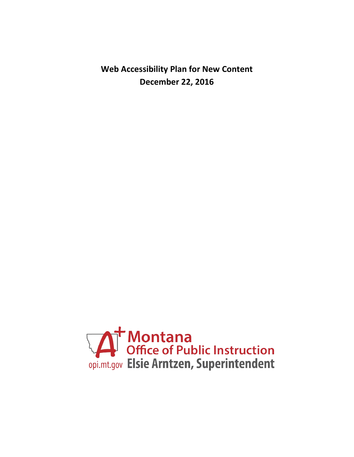**Web Accessibility Plan for New Content December 22, 2016**

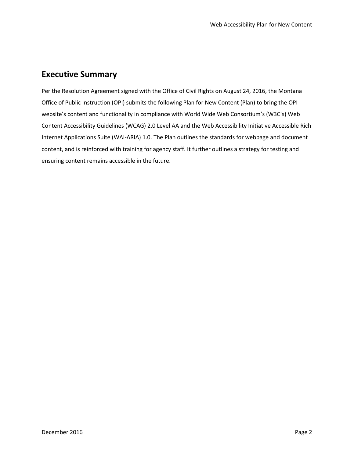# **Executive Summary**

Per the Resolution Agreement signed with the Office of Civil Rights on August 24, 2016, the Montana Office of Public Instruction (OPI) submits the following Plan for New Content (Plan) to bring the OPI website's content and functionality in compliance with World Wide Web Consortium's (W3C's) Web Content Accessibility Guidelines (WCAG) 2.0 Level AA and the Web Accessibility Initiative Accessible Rich Internet Applications Suite (WAI-ARIA) 1.0. The Plan outlines the standards for webpage and document content, and is reinforced with training for agency staff. It further outlines a strategy for testing and ensuring content remains accessible in the future.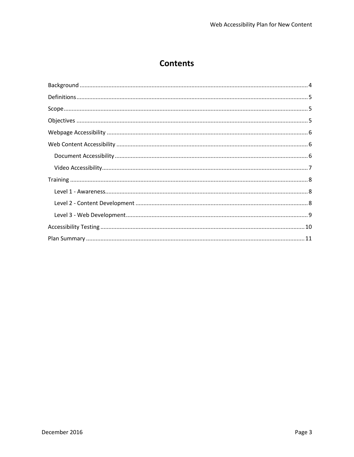# **Contents**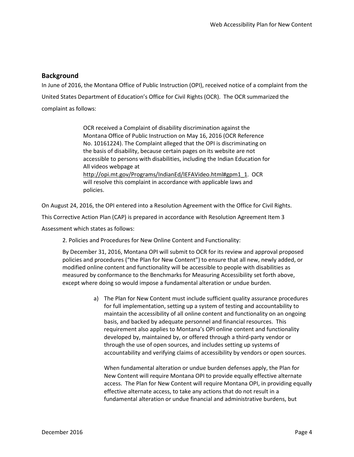### <span id="page-3-0"></span>**Background**

In June of 2016, the Montana Office of Public Instruction (OPI), received notice of a complaint from the United States Department of Education's Office for Civil Rights (OCR). The OCR summarized the complaint as follows:

> OCR received a Complaint of disability discrimination against the Montana Office of Public Instruction on May 16, 2016 (OCR Reference No. 10161224). The Complaint alleged that the OPI is discriminating on the basis of disability, because certain pages on its website are not accessible to persons with disabilities, including the Indian Education for All videos webpage at [http://opi.mt.gov/Programs/IndianEd/IEFAVideo.html#gpm1\\_1.](http://opi.mt.gov/Programs/IndianEd/IEFAVideo.html#gpm1_1) OCR will resolve this complaint in accordance with applicable laws and policies.

On August 24, 2016, the OPI entered into a Resolution Agreement with the Office for Civil Rights.

This Corrective Action Plan (CAP) is prepared in accordance with Resolution Agreement Item 3

Assessment which states as follows:

2. Policies and Procedures for New Online Content and Functionality:

By December 31, 2016, Montana OPI will submit to OCR for its review and approval proposed policies and procedures ("the Plan for New Content") to ensure that all new, newly added, or modified online content and functionality will be accessible to people with disabilities as measured by conformance to the Benchmarks for Measuring Accessibility set forth above, except where doing so would impose a fundamental alteration or undue burden.

> a) The Plan for New Content must include sufficient quality assurance procedures for full implementation, setting up a system of testing and accountability to maintain the accessibility of all online content and functionality on an ongoing basis, and backed by adequate personnel and financial resources. This requirement also applies to Montana's OPI online content and functionality developed by, maintained by, or offered through a third-party vendor or through the use of open sources, and includes setting up systems of accountability and verifying claims of accessibility by vendors or open sources.

When fundamental alteration or undue burden defenses apply, the Plan for New Content will require Montana OPI to provide equally effective alternate access. The Plan for New Content will require Montana OPI, in providing equally effective alternate access, to take any actions that do not result in a fundamental alteration or undue financial and administrative burdens, but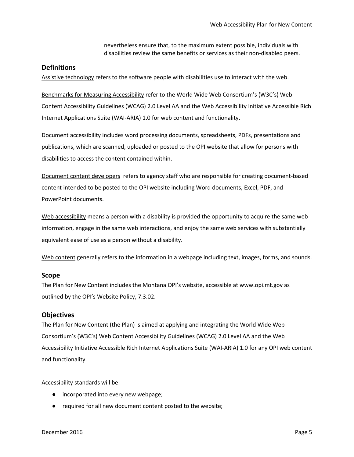nevertheless ensure that, to the maximum extent possible, individuals with disabilities review the same benefits or services as their non-disabled peers.

### <span id="page-4-0"></span>**Definitions**

Assistive technology refers to the software people with disabilities use to interact with the web.

Benchmarks for Measuring Accessibility refer to the World Wide Web Consortium's (W3C's) Web Content Accessibility Guidelines (WCAG) 2.0 Level AA and the Web Accessibility Initiative Accessible Rich Internet Applications Suite (WAI-ARIA) 1.0 for web content and functionality.

Document accessibility includes word processing documents, spreadsheets, PDFs, presentations and publications, which are scanned, uploaded or posted to the OPI website that allow for persons with disabilities to access the content contained within.

Document content developers refers to agency staff who are responsible for creating document-based content intended to be posted to the OPI website including Word documents, Excel, PDF, and PowerPoint documents.

Web accessibility means a person with a disability is provided the opportunity to acquire the same web information, engage in the same web interactions, and enjoy the same web services with substantially equivalent ease of use as a person without a disability.

Web content generally refers to the information in a webpage including text, images, forms, and sounds.

#### <span id="page-4-1"></span>**Scope**

The Plan for New Content includes the Montana OPI's website, accessible a[t www.opi.mt.gov](http://www.opi.mt.gov/) as outlined by the OPI's Website Policy, 7.3.02.

#### <span id="page-4-2"></span>**Objectives**

The Plan for New Content (the Plan) is aimed at applying and integrating the World Wide Web Consortium's (W3C's) Web Content Accessibility Guidelines (WCAG) 2.0 Level AA and the Web Accessibility Initiative Accessible Rich Internet Applications Suite (WAI-ARIA) 1.0 for any OPI web content and functionality.

Accessibility standards will be:

- incorporated into every new webpage;
- required for all new document content posted to the website;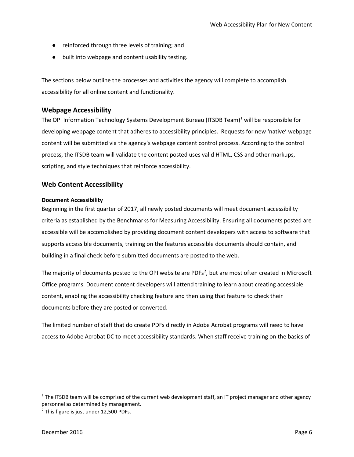- reinforced through three levels of training; and
- built into webpage and content usability testing.

The sections below outline the processes and activities the agency will complete to accomplish accessibility for all online content and functionality.

### <span id="page-5-0"></span>**Webpage Accessibility**

The OPI Information Technology Systems Development Bureau (ITSDB Team)<sup>[1](#page-5-3)</sup> will be responsible for developing webpage content that adheres to accessibility principles. Requests for new 'native' webpage content will be submitted via the agency's webpage content control process. According to the control process, the ITSDB team will validate the content posted uses valid HTML, CSS and other markups, scripting, and style techniques that reinforce accessibility.

### <span id="page-5-1"></span>**Web Content Accessibility**

#### <span id="page-5-2"></span>**Document Accessibility**

Beginning in the first quarter of 2017, all newly posted documents will meet document accessibility criteria as established by the Benchmarks for Measuring Accessibility. Ensuring all documents posted are accessible will be accomplished by providing document content developers with access to software that supports accessible documents, training on the features accessible documents should contain, and building in a final check before submitted documents are posted to the web.

The majority of documents posted to the OPI website are PDFs<sup>[2](#page-5-4)</sup>, but are most often created in Microsoft Office programs. Document content developers will attend training to learn about creating accessible content, enabling the accessibility checking feature and then using that feature to check their documents before they are posted or converted.

The limited number of staff that do create PDFs directly in Adobe Acrobat programs will need to have access to Adobe Acrobat DC to meet accessibility standards. When staff receive training on the basics of

<span id="page-5-3"></span> $1$  The ITSDB team will be comprised of the current web development staff, an IT project manager and other agency personnel as determined by management.

<span id="page-5-4"></span><sup>&</sup>lt;sup>2</sup> This figure is just under 12,500 PDFs.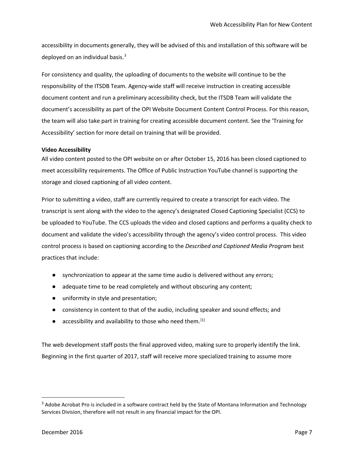accessibility in documents generally, they will be advised of this and installation of this software will be deployed on an individual basis.<sup>[3](#page-6-1)</sup>

For consistency and quality, the uploading of documents to the website will continue to be the responsibility of the ITSDB Team. Agency-wide staff will receive instruction in creating accessible document content and run a preliminary accessibility check, but the ITSDB Team will validate the document's accessibility as part of the OPI Website Document Content Control Process. For this reason, the team will also take part in training for creating accessible document content. See the 'Training for Accessibility' section for more detail on training that will be provided.

### <span id="page-6-0"></span>**Video Accessibility**

All video content posted to the OPI website on or after October 15, 2016 has been closed captioned to meet accessibility requirements. The Office of Public Instruction YouTube channel is supporting the storage and closed captioning of all video content.

Prior to submitting a video, staff are currently required to create a transcript for each video. The transcript is sent along with the video to the agency's designated Closed Captioning Specialist (CCS) to be uploaded to YouTube. The CCS uploads the video and closed captions and performs a quality check to document and validate the video's accessibility through the agency's video control process. This video control process is based on captioning according to the *Described and Captioned Media Program* best practices that include:

- synchronization to appear at the same time audio is delivered without any errors;
- adequate time to be read completely and without obscuring any content;
- uniformity in style and presentation;
- consistency in content to that of the audio, including speaker and sound effects; and
- $\bullet$  accessibility and availability to those who need them. [\[1\]](#page-11-0)

The web development staff posts the final approved video, making sure to properly identify the link. Beginning in the first quarter of 2017, staff will receive more specialized training to assume more

<span id="page-6-1"></span> $3$  Adobe Acrobat Pro is included in a software contract held by the State of Montana Information and Technology Services Division, therefore will not result in any financial impact for the OPI.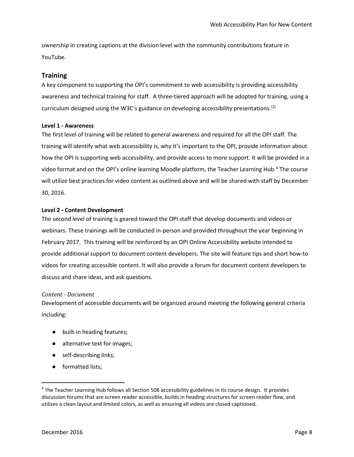ownership in creating captions at the division level with the community contributions feature in YouTube.

### <span id="page-7-0"></span>**Training**

A key component to supporting the OPI's commitment to web accessibility is providing accessibility awareness and technical training for staff. A three-tiered approach will be adopted for training, using a curriculum designed using the W3C's guidance on developing accessibility presentations.<sup>[\[2\]](#page-11-1)</sup>

### <span id="page-7-1"></span>**Level 1 - Awareness**

The first level of training will be related to general awareness and required for all the OPI staff. The training will identify what web accessibility is, why it's important to the OPI, provide information about how the OPI is supporting web accessibility, and provide access to more support. It will be provided in a video format and on the OPI's online learning Moodle platform, the Teacher Learning Hub. [4](#page-7-3) The course will utilize best practices for video content as outlined above and will be shared with staff by December 30, 2016.

### <span id="page-7-2"></span>**Level 2 - Content Development**

The second level of training is geared toward the OPI staff that develop documents and videos or webinars. These trainings will be conducted in-person and provided throughout the year beginning in February 2017. This training will be reinforced by an OPI Online Accessibility website intended to provide additional support to document content developers. The site will feature tips and short how-to videos for creating accessible content. It will also provide a forum for document content developers to discuss and share ideas, and ask questions.

### *Content - Document*

Development of accessible documents will be organized around meeting the following general criteria including:

- built-in heading features;
- alternative text for images;
- self-describing links;
- formatted lists;

<span id="page-7-3"></span><sup>&</sup>lt;sup>4</sup> The Teacher Learning Hub follows all Section 508 accessibility guidelines in its course design. It provides discussion forums that are screen reader accessible, builds in heading structures for screen reader flow, and utilizes a clean layout and limited colors, as well as ensuring all videos are closed captioned.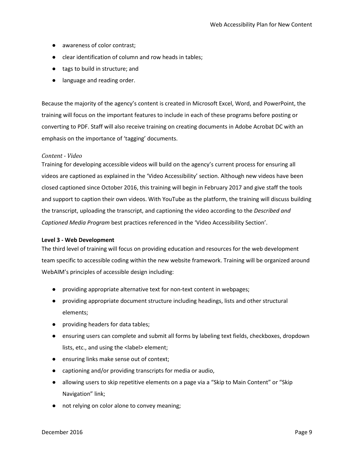- awareness of color contrast:
- clear identification of column and row heads in tables;
- tags to build in structure; and
- language and reading order.

Because the majority of the agency's content is created in Microsoft Excel, Word, and PowerPoint, the training will focus on the important features to include in each of these programs before posting or converting to PDF. Staff will also receive training on creating documents in Adobe Acrobat DC with an emphasis on the importance of 'tagging' documents.

#### *Content - Video*

Training for developing accessible videos will build on the agency's current process for ensuring all videos are captioned as explained in the 'Video Accessibility' section. Although new videos have been closed captioned since October 2016, this training will begin in February 2017 and give staff the tools and support to caption their own videos. With YouTube as the platform, the training will discuss building the transcript, uploading the transcript, and captioning the video according to the *Described and Captioned Media Program* best practices referenced in the 'Video Accessibility Section'.

#### <span id="page-8-0"></span>**Level 3 - Web Development**

The third level of training will focus on providing education and resources for the web development team specific to accessible coding within the new website framework. Training will be organized around WebAIM's principles of accessible design including:

- providing appropriate alternative text for non-text content in webpages;
- providing appropriate document structure including headings, lists and other structural elements;
- providing headers for data tables;
- ensuring users can complete and submit all forms by labeling text fields, checkboxes, dropdown lists, etc., and using the <label> element;
- ensuring links make sense out of context;
- captioning and/or providing transcripts for media or audio,
- allowing users to skip repetitive elements on a page via a "Skip to Main Content" or "Skip Navigation" link;
- not relying on color alone to convey meaning;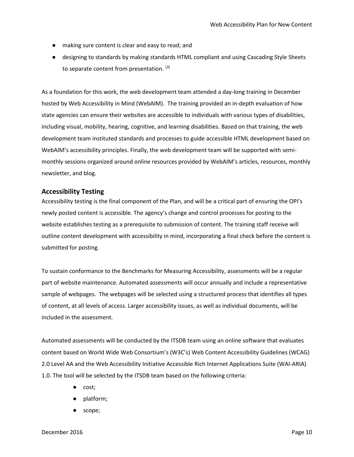- making sure content is clear and easy to read; and
- designing to standards by making standards HTML compliant and using Cascading Style Sheets to separate content from presentation. [\[3\]](#page-11-2)

As a foundation for this work, the web development team attended a day-long training in December hosted by Web Accessibility in Mind (WebAIM). The training provided an in-depth evaluation of how state agencies can ensure their websites are accessible to individuals with various types of disabilities, including visual, mobility, hearing, cognitive, and learning disabilities. Based on that training, the web development team instituted standards and processes to guide accessible HTML development based on WebAIM's accessibility principles. Finally, the web development team will be supported with semimonthly sessions organized around online resources provided by WebAIM's articles, resources, monthly newsletter, and blog.

### <span id="page-9-0"></span>**Accessibility Testing**

Accessibility testing is the final component of the Plan, and will be a critical part of ensuring the OPI's newly posted content is accessible. The agency's change and control processes for posting to the website establishes testing as a prerequisite to submission of content. The training staff receive will outline content development with accessibility in mind, incorporating a final check before the content is submitted for posting.

To sustain conformance to the Benchmarks for Measuring Accessibility, assessments will be a regular part of website maintenance. Automated assessments will occur annually and include a representative sample of webpages. The webpages will be selected using a structured process that identifies all types of content, at all levels of access. Larger accessibility issues, as well as individual documents, will be included in the assessment.

Automated assessments will be conducted by the ITSDB team using an online software that evaluates content based on World Wide Web Consortium's (W3C's) Web Content Accessibility Guidelines (WCAG) 2.0 Level AA and the Web Accessibility Initiative Accessible Rich Internet Applications Suite (WAI-ARIA) 1.0. The tool will be selected by the ITSDB team based on the following criteria:

- cost;
- platform;
- scope;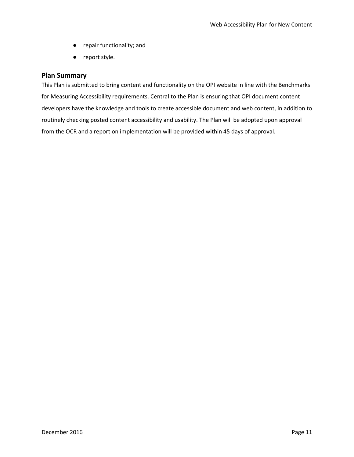- repair functionality; and
- report style.

### <span id="page-10-0"></span>**Plan Summary**

This Plan is submitted to bring content and functionality on the OPI website in line with the Benchmarks for Measuring Accessibility requirements. Central to the Plan is ensuring that OPI document content developers have the knowledge and tools to create accessible document and web content, in addition to routinely checking posted content accessibility and usability. The Plan will be adopted upon approval from the OCR and a report on implementation will be provided within 45 days of approval.